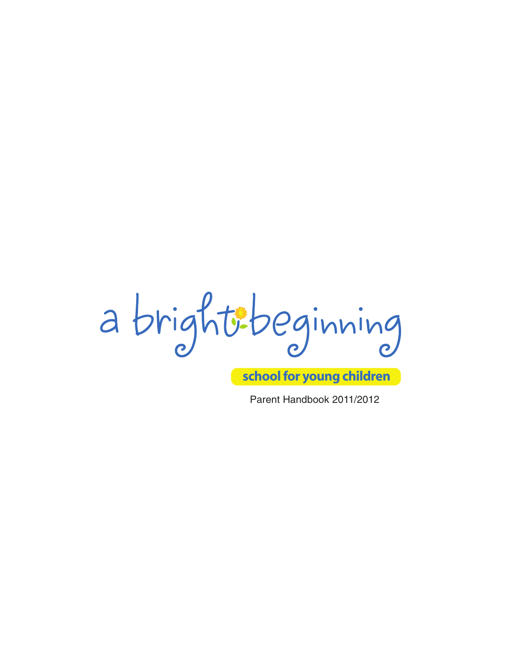a brightibeginning

**school for young children**

Parent Handbook 2011/2012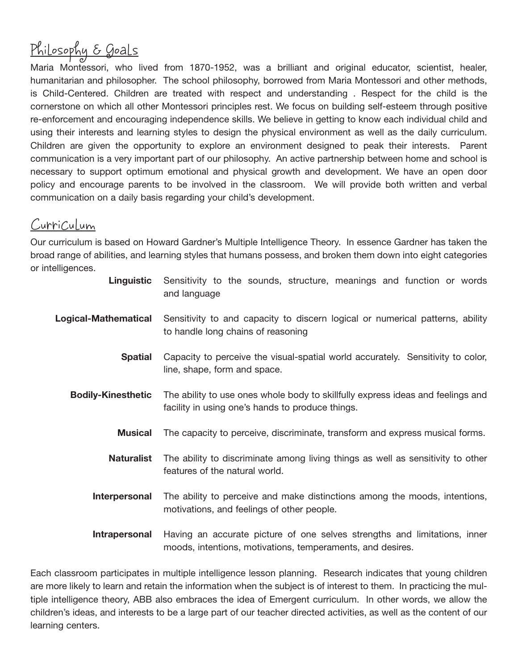# Philosophy & Goals

Maria Montessori, who lived from 1870-1952, was a brilliant and original educator, scientist, healer, humanitarian and philosopher. The school philosophy, borrowed from Maria Montessori and other methods, is Child-Centered. Children are treated with respect and understanding . Respect for the child is the cornerstone on which all other Montessori principles rest. We focus on building self-esteem through positive re-enforcement and encouraging independence skills. We believe in getting to know each individual child and using their interests and learning styles to design the physical environment as well as the daily curriculum. Children are given the opportunity to explore an environment designed to peak their interests. Parent communication is a very important part of our philosophy. An active partnership between home and school is necessary to support optimum emotional and physical growth and development. We have an open door policy and encourage parents to be involved in the classroom. We will provide both written and verbal communication on a daily basis regarding your child's development.

### Curriculum

Our curriculum is based on Howard Gardner's Multiple Intelligence Theory. In essence Gardner has taken the broad range of abilities, and learning styles that humans possess, and broken them down into eight categories or intelligences.

| Linguistic                | Sensitivity to the sounds, structure, meanings and function or words<br>and language                                                    |  |
|---------------------------|-----------------------------------------------------------------------------------------------------------------------------------------|--|
| Logical-Mathematical      | Sensitivity to and capacity to discern logical or numerical patterns, ability<br>to handle long chains of reasoning                     |  |
| <b>Spatial</b>            | Capacity to perceive the visual-spatial world accurately. Sensitivity to color,<br>line, shape, form and space.                         |  |
| <b>Bodily-Kinesthetic</b> | The ability to use ones whole body to skillfully express ideas and feelings and<br>facility in using one's hands to produce things.     |  |
| <b>Musical</b>            | The capacity to perceive, discriminate, transform and express musical forms.                                                            |  |
| <b>Naturalist</b>         | The ability to discriminate among living things as well as sensitivity to other<br>features of the natural world.                       |  |
| Interpersonal             | The ability to perceive and make distinctions among the moods, intentions,<br>motivations, and feelings of other people.                |  |
| Intrapersonal             | Having an accurate picture of one selves strengths and limitations, inner<br>moods, intentions, motivations, temperaments, and desires. |  |

Each classroom participates in multiple intelligence lesson planning. Research indicates that young children are more likely to learn and retain the information when the subject is of interest to them. In practicing the multiple intelligence theory, ABB also embraces the idea of Emergent curriculum. In other words, we allow the children's ideas, and interests to be a large part of our teacher directed activities, as well as the content of our learning centers.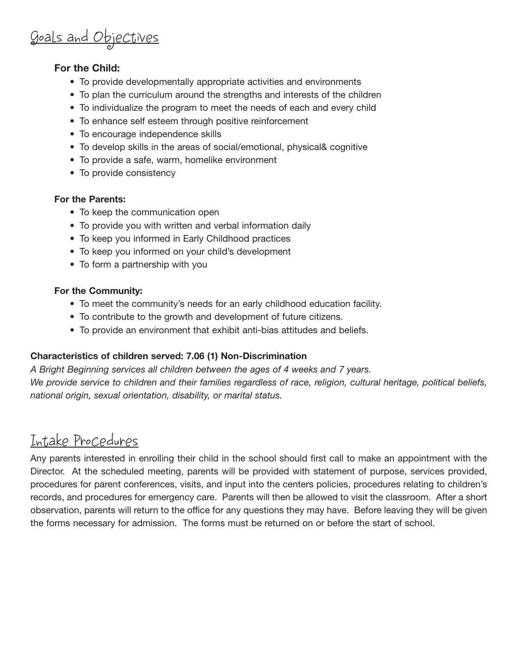## Goals and Objectives

#### **For the Child:**

- To provide developmentally appropriate activities and environments
- To plan the curriculum around the strengths and interests of the children
- To individualize the program to meet the needs of each and every child
- To enhance self esteem through positive reinforcement
- To encourage independence skills
- To develop skills in the areas of social/emotional, physical& cognitive
- To provide a safe, warm, homelike environment
- To provide consistency

#### **For the Parents:**

- To keep the communication open
- To provide you with written and verbal information daily
- To keep you informed in Early Childhood practices
- To keep you informed on your child's development
- To form a partnership with you

#### **For the Community:**

- To meet the community's needs for an early childhood education facility.
- To contribute to the growth and development of future citizens.
- To provide an environment that exhibit anti-bias attitudes and beliefs.

#### **Characteristics of children served: 7.06 (1) Non-Discrimination**

*A Bright Beginning services all children between the ages of 4 weeks and 7 years. We provide service to children and their families regardless of race, religion, cultural heritage, political beliefs, national origin, sexual orientation, disability, or marital status.*

## Intake Procedures

Any parents interested in enrolling their child in the school should first call to make an appointment with the Director. At the scheduled meeting, parents will be provided with statement of purpose, services provided, procedures for parent conferences, visits, and input into the centers policies, procedures relating to children's records, and procedures for emergency care. Parents will then be allowed to visit the classroom. After a short observation, parents will return to the office for any questions they may have. Before leaving they will be given the forms necessary for admission. The forms must be returned on or before the start of school.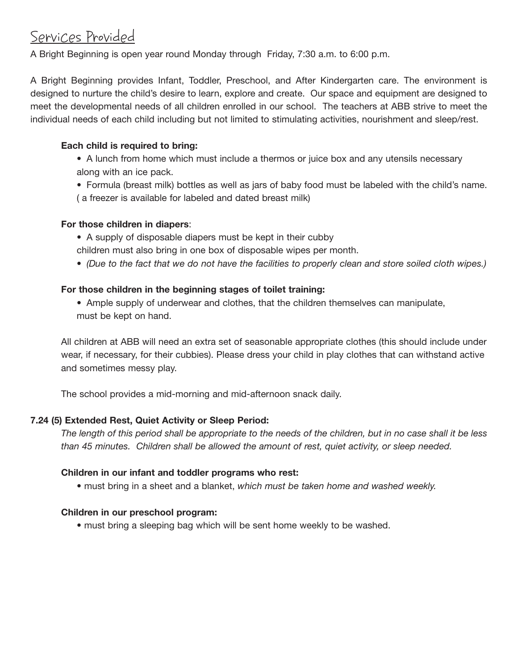## Services Provided

A Bright Beginning is open year round Monday through Friday, 7:30 a.m. to 6:00 p.m.

A Bright Beginning provides Infant, Toddler, Preschool, and After Kindergarten care. The environment is designed to nurture the child's desire to learn, explore and create. Our space and equipment are designed to meet the developmental needs of all children enrolled in our school. The teachers at ABB strive to meet the individual needs of each child including but not limited to stimulating activities, nourishment and sleep/rest.

#### **Each child is required to bring:**

- A lunch from home which must include a thermos or juice box and any utensils necessary along with an ice pack.
- Formula (breast milk) bottles as well as jars of baby food must be labeled with the child's name. ( a freezer is available for labeled and dated breast milk)

#### **For those children in diapers**:

- A supply of disposable diapers must be kept in their cubby
- children must also bring in one box of disposable wipes per month.
- *(Due to the fact that we do not have the facilities to properly clean and store soiled cloth wipes.)*

#### **For those children in the beginning stages of toilet training:**

• Ample supply of underwear and clothes, that the children themselves can manipulate, must be kept on hand.

All children at ABB will need an extra set of seasonable appropriate clothes (this should include under wear, if necessary, for their cubbies). Please dress your child in play clothes that can withstand active and sometimes messy play.

The school provides a mid-morning and mid-afternoon snack daily.

#### **7.24 (5) Extended Rest, Quiet Activity or Sleep Period:**

*The length of this period shall be appropriate to the needs of the children, but in no case shall it be less than 45 minutes. Children shall be allowed the amount of rest, quiet activity, or sleep needed.*

#### **Children in our infant and toddler programs who rest:**

• must bring in a sheet and a blanket, *which must be taken home and washed weekly.*

#### **Children in our preschool program:**

• must bring a sleeping bag which will be sent home weekly to be washed.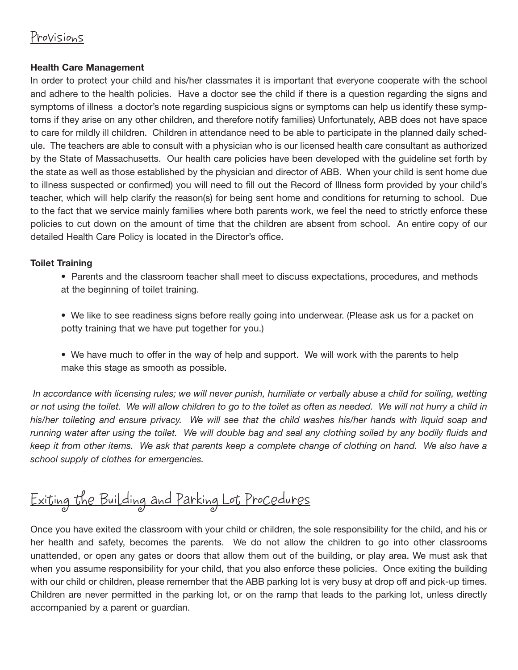### Provisions

#### **Health Care Management**

In order to protect your child and his/her classmates it is important that everyone cooperate with the school and adhere to the health policies. Have a doctor see the child if there is a question regarding the signs and symptoms of illness a doctor's note regarding suspicious signs or symptoms can help us identify these symptoms if they arise on any other children, and therefore notify families) Unfortunately, ABB does not have space to care for mildly ill children. Children in attendance need to be able to participate in the planned daily schedule. The teachers are able to consult with a physician who is our licensed health care consultant as authorized by the State of Massachusetts. Our health care policies have been developed with the guideline set forth by the state as well as those established by the physician and director of ABB. When your child is sent home due to illness suspected or confirmed) you will need to fill out the Record of Illness form provided by your child's teacher, which will help clarify the reason(s) for being sent home and conditions for returning to school. Due to the fact that we service mainly families where both parents work, we feel the need to strictly enforce these policies to cut down on the amount of time that the children are absent from school. An entire copy of our detailed Health Care Policy is located in the Director's office.

#### **Toilet Training**

- Parents and the classroom teacher shall meet to discuss expectations, procedures, and methods at the beginning of toilet training.
- We like to see readiness signs before really going into underwear. (Please ask us for a packet on potty training that we have put together for you.)
- We have much to offer in the way of help and support. We will work with the parents to help make this stage as smooth as possible.

*In accordance with licensing rules; we will never punish, humiliate or verbally abuse a child for soiling, wetting or not using the toilet. We will allow children to go to the toilet as often as needed. We will not hurry a child in his/her toileting and ensure privacy. We will see that the child washes his/her hands with liquid soap and running water after using the toilet. We will double bag and seal any clothing soiled by any bodily fluids and keep it from other items. We ask that parents keep a complete change of clothing on hand. We also have a school supply of clothes for emergencies.* 

# Exiting the Building and Parking Lot Procedures

Once you have exited the classroom with your child or children, the sole responsibility for the child, and his or her health and safety, becomes the parents. We do not allow the children to go into other classrooms unattended, or open any gates or doors that allow them out of the building, or play area. We must ask that when you assume responsibility for your child, that you also enforce these policies. Once exiting the building with our child or children, please remember that the ABB parking lot is very busy at drop off and pick-up times. Children are never permitted in the parking lot, or on the ramp that leads to the parking lot, unless directly accompanied by a parent or guardian.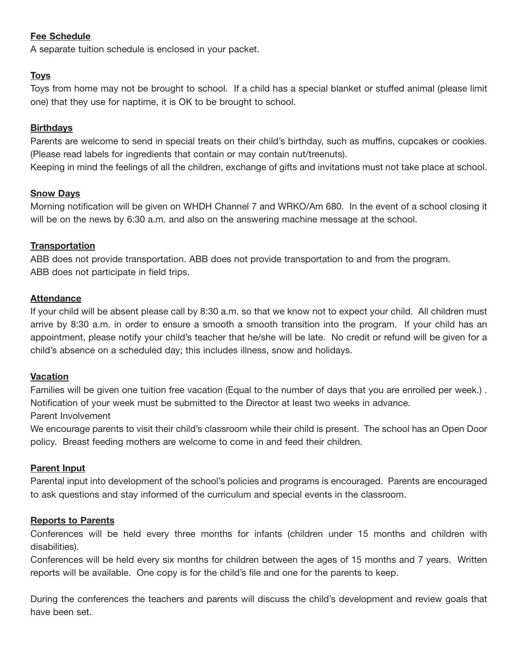#### **Fee Schedule**

A separate tuition schedule is enclosed in your packet.

#### **Toys**

Toys from home may not be brought to school. If a child has a special blanket or stuffed animal (please limit one) that they use for naptime, it is OK to be brought to school.

#### **Birthdays**

Parents are welcome to send in special treats on their child's birthday, such as muffins, cupcakes or cookies. (Please read labels for ingredients that contain or may contain nut/treenuts).

Keeping in mind the feelings of all the children, exchange of gifts and invitations must not take place at school.

#### **Snow Days**

Morning notification will be given on WHDH Channel 7 and WRKO/Am 680. In the event of a school closing it will be on the news by 6:30 a.m. and also on the answering machine message at the school.

#### **Transportation**

ABB does not provide transportation. ABB does not provide transportation to and from the program. ABB does not participate in field trips.

#### **Attendance**

If your child will be absent please call by 8:30 a.m. so that we know not to expect your child. All children must arrive by 8:30 a.m. in order to ensure a smooth a smooth transition into the program. If your child has an appointment, please notify your child's teacher that he/she will be late. No credit or refund will be given for a child's absence on a scheduled day; this includes illness, snow and holidays.

#### **Vacation**

Families will be given one tuition free vacation (Equal to the number of days that you are enrolled per week.) . Notification of your week must be submitted to the Director at least two weeks in advance.

#### Parent Involvement

We encourage parents to visit their child's classroom while their child is present. The school has an Open Door policy. Breast feeding mothers are welcome to come in and feed their children.

#### **Parent Input**

Parental input into development of the school's policies and programs is encouraged. Parents are encouraged to ask questions and stay informed of the curriculum and special events in the classroom.

#### **Reports to Parents**

Conferences will be held every three months for infants (children under 15 months and children with disabilities).

Conferences will be held every six months for children between the ages of 15 months and 7 years. Written reports will be available. One copy is for the child's file and one for the parents to keep.

During the conferences the teachers and parents will discuss the child's development and review goals that have been set.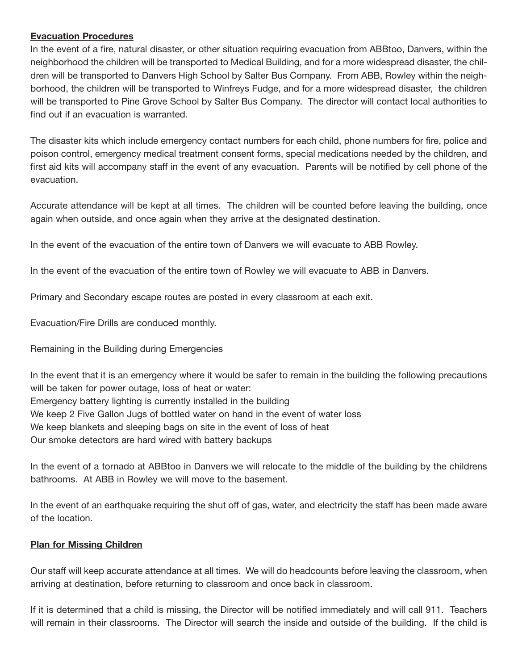#### **Evacuation Procedures**

In the event of a fire, natural disaster, or other situation requiring evacuation from ABBtoo, Danvers, within the neighborhood the children will be transported to Medical Building, and for a more widespread disaster, the children will be transported to Danvers High School by Salter Bus Company. From ABB, Rowley within the neighborhood, the children will be transported to Winfreys Fudge, and for a more widespread disaster, the children will be transported to Pine Grove School by Salter Bus Company. The director will contact local authorities to find out if an evacuation is warranted.

The disaster kits which include emergency contact numbers for each child, phone numbers for fire, police and poison control, emergency medical treatment consent forms, special medications needed by the children, and first aid kits will accompany staff in the event of any evacuation. Parents will be notified by cell phone of the evacuation.

Accurate attendance will be kept at all times. The children will be counted before leaving the building, once again when outside, and once again when they arrive at the designated destination.

In the event of the evacuation of the entire town of Danvers we will evacuate to ABB Rowley.

In the event of the evacuation of the entire town of Rowley we will evacuate to ABB in Danvers.

Primary and Secondary escape routes are posted in every classroom at each exit.

Evacuation/Fire Drills are conduced monthly.

Remaining in the Building during Emergencies

In the event that it is an emergency where it would be safer to remain in the building the following precautions will be taken for power outage, loss of heat or water: Emergency battery lighting is currently installed in the building We keep 2 Five Gallon Jugs of bottled water on hand in the event of water loss We keep blankets and sleeping bags on site in the event of loss of heat Our smoke detectors are hard wired with battery backups

In the event of a tornado at ABBtoo in Danvers we will relocate to the middle of the building by the childrens bathrooms. At ABB in Rowley we will move to the basement.

In the event of an earthquake requiring the shut off of gas, water, and electricity the staff has been made aware of the location.

#### **Plan for Missing Children**

Our staff will keep accurate attendance at all times. We will do headcounts before leaving the classroom, when arriving at destination, before returning to classroom and once back in classroom.

If it is determined that a child is missing, the Director will be notified immediately and will call 911. Teachers will remain in their classrooms. The Director will search the inside and outside of the building. If the child is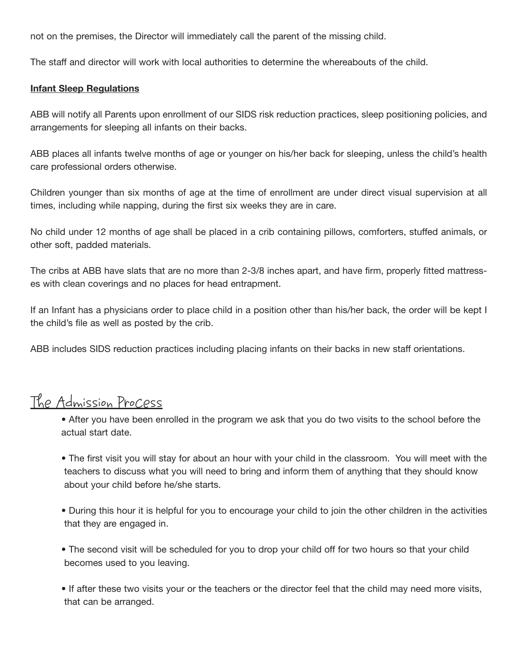not on the premises, the Director will immediately call the parent of the missing child.

The staff and director will work with local authorities to determine the whereabouts of the child.

#### **Infant Sleep Regulations**

ABB will notify all Parents upon enrollment of our SIDS risk reduction practices, sleep positioning policies, and arrangements for sleeping all infants on their backs.

ABB places all infants twelve months of age or younger on his/her back for sleeping, unless the child's health care professional orders otherwise.

Children younger than six months of age at the time of enrollment are under direct visual supervision at all times, including while napping, during the first six weeks they are in care.

No child under 12 months of age shall be placed in a crib containing pillows, comforters, stuffed animals, or other soft, padded materials.

The cribs at ABB have slats that are no more than 2-3/8 inches apart, and have firm, properly fitted mattresses with clean coverings and no places for head entrapment.

If an Infant has a physicians order to place child in a position other than his/her back, the order will be kept I the child's file as well as posted by the crib.

ABB includes SIDS reduction practices including placing infants on their backs in new staff orientations.

## The Admission Process

• After you have been enrolled in the program we ask that you do two visits to the school before the actual start date.

- The first visit you will stay for about an hour with your child in the classroom. You will meet with the teachers to discuss what you will need to bring and inform them of anything that they should know about your child before he/she starts.
- During this hour it is helpful for you to encourage your child to join the other children in the activities that they are engaged in.
- The second visit will be scheduled for you to drop your child off for two hours so that your child becomes used to you leaving.
- If after these two visits your or the teachers or the director feel that the child may need more visits, that can be arranged.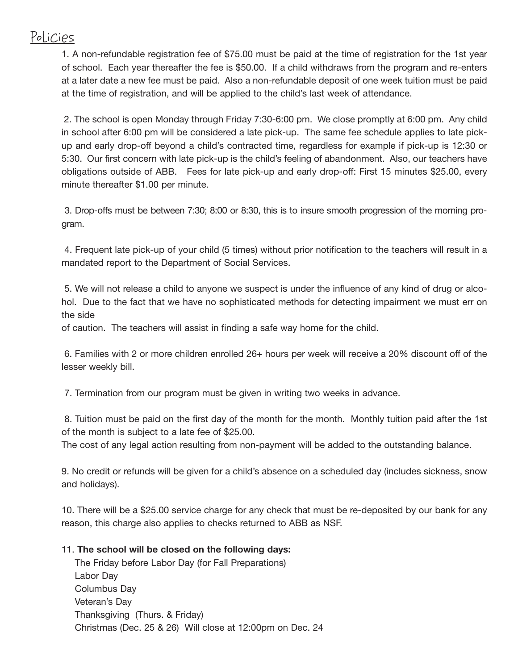## Policies

1. A non-refundable registration fee of \$75.00 must be paid at the time of registration for the 1st year of school. Each year thereafter the fee is \$50.00. If a child withdraws from the program and re-enters at a later date a new fee must be paid. Also a non-refundable deposit of one week tuition must be paid at the time of registration, and will be applied to the child's last week of attendance.

2. The school is open Monday through Friday 7:30-6:00 pm. We close promptly at 6:00 pm. Any child in school after 6:00 pm will be considered a late pick-up. The same fee schedule applies to late pickup and early drop-off beyond a child's contracted time, regardless for example if pick-up is 12:30 or 5:30. Our first concern with late pick-up is the child's feeling of abandonment. Also, our teachers have obligations outside of ABB. Fees for late pick-up and early drop-off: First 15 minutes \$25.00, every minute thereafter \$1.00 per minute.

3. Drop-offs must be between 7:30; 8:00 or 8:30, this is to insure smooth progression of the morning program.

4. Frequent late pick-up of your child (5 times) without prior notification to the teachers will result in a mandated report to the Department of Social Services.

5. We will not release a child to anyone we suspect is under the influence of any kind of drug or alcohol. Due to the fact that we have no sophisticated methods for detecting impairment we must err on the side

of caution. The teachers will assist in finding a safe way home for the child.

6. Families with 2 or more children enrolled 26+ hours per week will receive a 20% discount off of the lesser weekly bill.

7. Termination from our program must be given in writing two weeks in advance.

8. Tuition must be paid on the first day of the month for the month. Monthly tuition paid after the 1st of the month is subject to a late fee of \$25.00.

The cost of any legal action resulting from non-payment will be added to the outstanding balance.

9. No credit or refunds will be given for a child's absence on a scheduled day (includes sickness, snow and holidays).

10. There will be a \$25.00 service charge for any check that must be re-deposited by our bank for any reason, this charge also applies to checks returned to ABB as NSF.

#### 11. **The school will be closed on the following days:**

The Friday before Labor Day (for Fall Preparations) Labor Day Columbus Day Veteran's Day Thanksgiving (Thurs. & Friday) Christmas (Dec. 25 & 26) Will close at 12:00pm on Dec. 24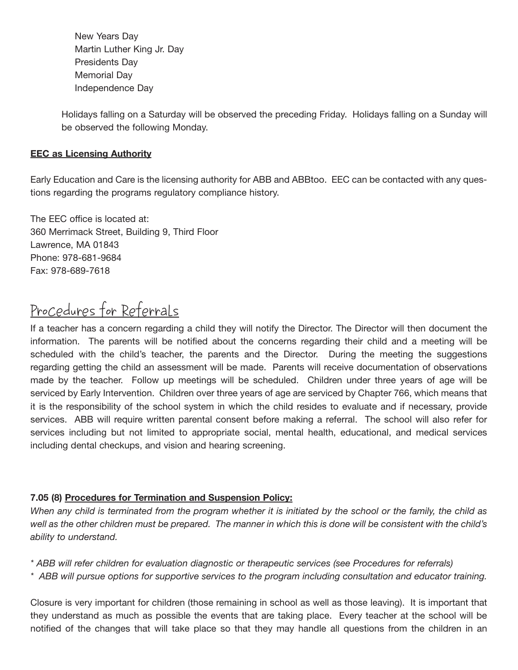New Years Day Martin Luther King Jr. Day Presidents Day Memorial Day Independence Day

Holidays falling on a Saturday will be observed the preceding Friday. Holidays falling on a Sunday will be observed the following Monday.

#### **EEC as Licensing Authority**

Early Education and Care is the licensing authority for ABB and ABBtoo. EEC can be contacted with any questions regarding the programs regulatory compliance history.

The EEC office is located at: 360 Merrimack Street, Building 9, Third Floor Lawrence, MA 01843 Phone: 978-681-9684 Fax: 978-689-7618

## Procedures for Referrals

If a teacher has a concern regarding a child they will notify the Director. The Director will then document the information. The parents will be notified about the concerns regarding their child and a meeting will be scheduled with the child's teacher, the parents and the Director. During the meeting the suggestions regarding getting the child an assessment will be made. Parents will receive documentation of observations made by the teacher. Follow up meetings will be scheduled. Children under three years of age will be serviced by Early Intervention. Children over three years of age are serviced by Chapter 766, which means that it is the responsibility of the school system in which the child resides to evaluate and if necessary, provide services. ABB will require written parental consent before making a referral. The school will also refer for services including but not limited to appropriate social, mental health, educational, and medical services including dental checkups, and vision and hearing screening.

#### **7.05 (8) Procedures for Termination and Suspension Policy:**

*When any child is terminated from the program whether it is initiated by the school or the family, the child as well as the other children must be prepared. The manner in which this is done will be consistent with the child's ability to understand.* 

*\* ABB will refer children for evaluation diagnostic or therapeutic services (see Procedures for referrals)*

*\* ABB will pursue options for supportive services to the program including consultation and educator training.*

Closure is very important for children (those remaining in school as well as those leaving). It is important that they understand as much as possible the events that are taking place. Every teacher at the school will be notified of the changes that will take place so that they may handle all questions from the children in an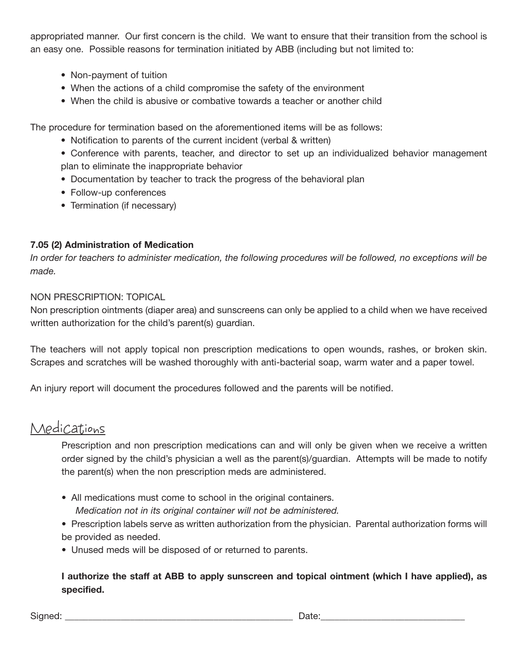appropriated manner. Our first concern is the child. We want to ensure that their transition from the school is an easy one. Possible reasons for termination initiated by ABB (including but not limited to:

- Non-payment of tuition
- When the actions of a child compromise the safety of the environment
- When the child is abusive or combative towards a teacher or another child

The procedure for termination based on the aforementioned items will be as follows:

- Notification to parents of the current incident (verbal & written)
- Conference with parents, teacher, and director to set up an individualized behavior management plan to eliminate the inappropriate behavior
- Documentation by teacher to track the progress of the behavioral plan
- Follow-up conferences
- Termination (if necessary)

#### **7.05 (2) Administration of Medication**

*In order for teachers to administer medication, the following procedures will be followed, no exceptions will be made.*

#### NON PRESCRIPTION: TOPICAL

Non prescription ointments (diaper area) and sunscreens can only be applied to a child when we have received written authorization for the child's parent(s) guardian.

The teachers will not apply topical non prescription medications to open wounds, rashes, or broken skin. Scrapes and scratches will be washed thoroughly with anti-bacterial soap, warm water and a paper towel.

An injury report will document the procedures followed and the parents will be notified.

### Medications

Prescription and non prescription medications can and will only be given when we receive a written order signed by the child's physician a well as the parent(s)/guardian. Attempts will be made to notify the parent(s) when the non prescription meds are administered.

- All medications must come to school in the original containers. *Medication not in its original container will not be administered.*
- Prescription labels serve as written authorization from the physician. Parental authorization forms will be provided as needed.
- Unused meds will be disposed of or returned to parents.

#### **I authorize the staff at ABB to apply sunscreen and topical ointment (which I have applied), as specified.**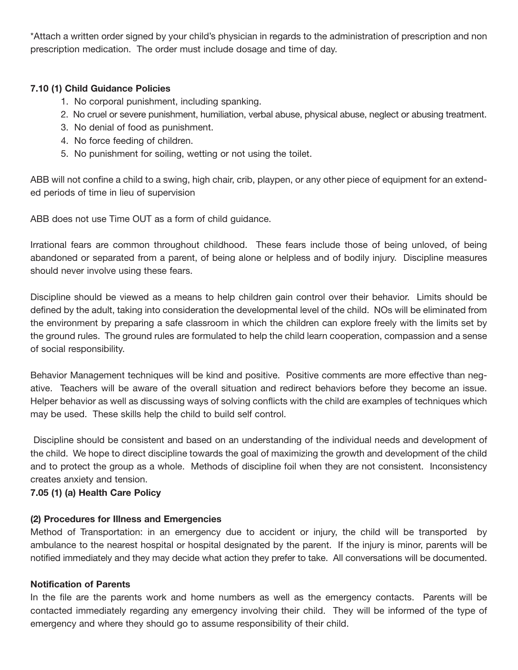\*Attach a written order signed by your child's physician in regards to the administration of prescription and non prescription medication. The order must include dosage and time of day.

#### **7.10 (1) Child Guidance Policies**

- 1. No corporal punishment, including spanking.
- 2. No cruel or severe punishment, humiliation, verbal abuse, physical abuse, neglect or abusing treatment.
- 3. No denial of food as punishment.
- 4. No force feeding of children.
- 5. No punishment for soiling, wetting or not using the toilet.

ABB will not confine a child to a swing, high chair, crib, playpen, or any other piece of equipment for an extended periods of time in lieu of supervision

ABB does not use Time OUT as a form of child guidance.

Irrational fears are common throughout childhood. These fears include those of being unloved, of being abandoned or separated from a parent, of being alone or helpless and of bodily injury. Discipline measures should never involve using these fears.

Discipline should be viewed as a means to help children gain control over their behavior. Limits should be defined by the adult, taking into consideration the developmental level of the child. NOs will be eliminated from the environment by preparing a safe classroom in which the children can explore freely with the limits set by the ground rules. The ground rules are formulated to help the child learn cooperation, compassion and a sense of social responsibility.

Behavior Management techniques will be kind and positive. Positive comments are more effective than negative. Teachers will be aware of the overall situation and redirect behaviors before they become an issue. Helper behavior as well as discussing ways of solving conflicts with the child are examples of techniques which may be used. These skills help the child to build self control.

Discipline should be consistent and based on an understanding of the individual needs and development of the child. We hope to direct discipline towards the goal of maximizing the growth and development of the child and to protect the group as a whole. Methods of discipline foil when they are not consistent. Inconsistency creates anxiety and tension.

#### **7.05 (1) (a) Health Care Policy**

#### **(2) Procedures for Illness and Emergencies**

Method of Transportation: in an emergency due to accident or injury, the child will be transported by ambulance to the nearest hospital or hospital designated by the parent. If the injury is minor, parents will be notified immediately and they may decide what action they prefer to take. All conversations will be documented.

#### **Notification of Parents**

In the file are the parents work and home numbers as well as the emergency contacts. Parents will be contacted immediately regarding any emergency involving their child. They will be informed of the type of emergency and where they should go to assume responsibility of their child.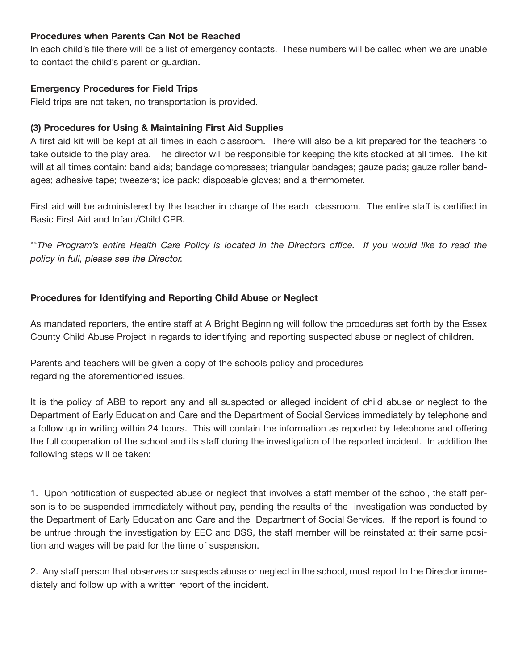#### **Procedures when Parents Can Not be Reached**

In each child's file there will be a list of emergency contacts. These numbers will be called when we are unable to contact the child's parent or guardian.

#### **Emergency Procedures for Field Trips**

Field trips are not taken, no transportation is provided.

#### **(3) Procedures for Using & Maintaining First Aid Supplies**

A first aid kit will be kept at all times in each classroom. There will also be a kit prepared for the teachers to take outside to the play area. The director will be responsible for keeping the kits stocked at all times. The kit will at all times contain: band aids; bandage compresses; triangular bandages; gauze pads; gauze roller bandages; adhesive tape; tweezers; ice pack; disposable gloves; and a thermometer.

First aid will be administered by the teacher in charge of the each classroom. The entire staff is certified in Basic First Aid and Infant/Child CPR.

*\*\*The Program's entire Health Care Policy is located in the Directors office. If you would like to read the policy in full, please see the Director.* 

#### **Procedures for Identifying and Reporting Child Abuse or Neglect**

As mandated reporters, the entire staff at A Bright Beginning will follow the procedures set forth by the Essex County Child Abuse Project in regards to identifying and reporting suspected abuse or neglect of children.

Parents and teachers will be given a copy of the schools policy and procedures regarding the aforementioned issues.

It is the policy of ABB to report any and all suspected or alleged incident of child abuse or neglect to the Department of Early Education and Care and the Department of Social Services immediately by telephone and a follow up in writing within 24 hours. This will contain the information as reported by telephone and offering the full cooperation of the school and its staff during the investigation of the reported incident. In addition the following steps will be taken:

1. Upon notification of suspected abuse or neglect that involves a staff member of the school, the staff person is to be suspended immediately without pay, pending the results of the investigation was conducted by the Department of Early Education and Care and the Department of Social Services. If the report is found to be untrue through the investigation by EEC and DSS, the staff member will be reinstated at their same position and wages will be paid for the time of suspension.

2. Any staff person that observes or suspects abuse or neglect in the school, must report to the Director immediately and follow up with a written report of the incident.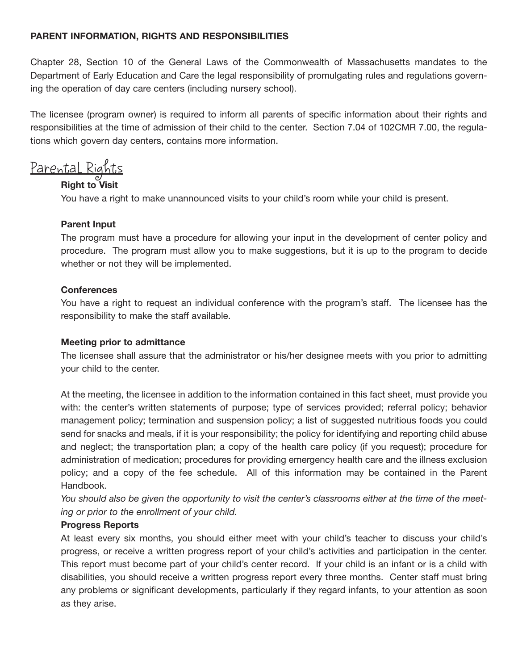#### **PARENT INFORMATION, RIGHTS AND RESPONSIBILITIES**

Chapter 28, Section 10 of the General Laws of the Commonwealth of Massachusetts mandates to the Department of Early Education and Care the legal responsibility of promulgating rules and regulations governing the operation of day care centers (including nursery school).

The licensee (program owner) is required to inform all parents of specific information about their rights and responsibilities at the time of admission of their child to the center. Section 7.04 of 102CMR 7.00, the regulations which govern day centers, contains more information.

Parental Rights

#### **Right to Visit**

You have a right to make unannounced visits to your child's room while your child is present.

#### **Parent Input**

The program must have a procedure for allowing your input in the development of center policy and procedure. The program must allow you to make suggestions, but it is up to the program to decide whether or not they will be implemented.

#### **Conferences**

You have a right to request an individual conference with the program's staff. The licensee has the responsibility to make the staff available.

#### **Meeting prior to admittance**

The licensee shall assure that the administrator or his/her designee meets with you prior to admitting your child to the center.

At the meeting, the licensee in addition to the information contained in this fact sheet, must provide you with: the center's written statements of purpose; type of services provided; referral policy; behavior management policy; termination and suspension policy; a list of suggested nutritious foods you could send for snacks and meals, if it is your responsibility; the policy for identifying and reporting child abuse and neglect; the transportation plan; a copy of the health care policy (if you request); procedure for administration of medication; procedures for providing emergency health care and the illness exclusion policy; and a copy of the fee schedule. All of this information may be contained in the Parent Handbook.

*You should also be given the opportunity to visit the center's classrooms either at the time of the meeting or prior to the enrollment of your child.*

#### **Progress Reports**

At least every six months, you should either meet with your child's teacher to discuss your child's progress, or receive a written progress report of your child's activities and participation in the center. This report must become part of your child's center record. If your child is an infant or is a child with disabilities, you should receive a written progress report every three months. Center staff must bring any problems or significant developments, particularly if they regard infants, to your attention as soon as they arise.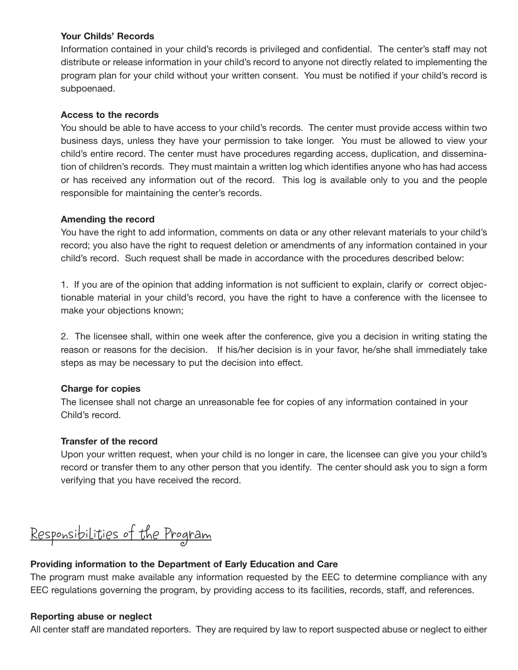#### **Your Childs' Records**

Information contained in your child's records is privileged and confidential. The center's staff may not distribute or release information in your child's record to anyone not directly related to implementing the program plan for your child without your written consent. You must be notified if your child's record is subpoenaed.

#### **Access to the records**

You should be able to have access to your child's records. The center must provide access within two business days, unless they have your permission to take longer. You must be allowed to view your child's entire record. The center must have procedures regarding access, duplication, and dissemination of children's records. They must maintain a written log which identifies anyone who has had access or has received any information out of the record. This log is available only to you and the people responsible for maintaining the center's records.

#### **Amending the record**

You have the right to add information, comments on data or any other relevant materials to your child's record; you also have the right to request deletion or amendments of any information contained in your child's record. Such request shall be made in accordance with the procedures described below:

1. If you are of the opinion that adding information is not sufficient to explain, clarify or correct objectionable material in your child's record, you have the right to have a conference with the licensee to make your objections known;

2. The licensee shall, within one week after the conference, give you a decision in writing stating the reason or reasons for the decision. If his/her decision is in your favor, he/she shall immediately take steps as may be necessary to put the decision into effect.

#### **Charge for copies**

The licensee shall not charge an unreasonable fee for copies of any information contained in your Child's record.

#### **Transfer of the record**

Upon your written request, when your child is no longer in care, the licensee can give you your child's record or transfer them to any other person that you identify. The center should ask you to sign a form verifying that you have received the record.

## Responsibilities of the Program

#### **Providing information to the Department of Early Education and Care**

The program must make available any information requested by the EEC to determine compliance with any EEC regulations governing the program, by providing access to its facilities, records, staff, and references.

#### **Reporting abuse or neglect**

All center staff are mandated reporters. They are required by law to report suspected abuse or neglect to either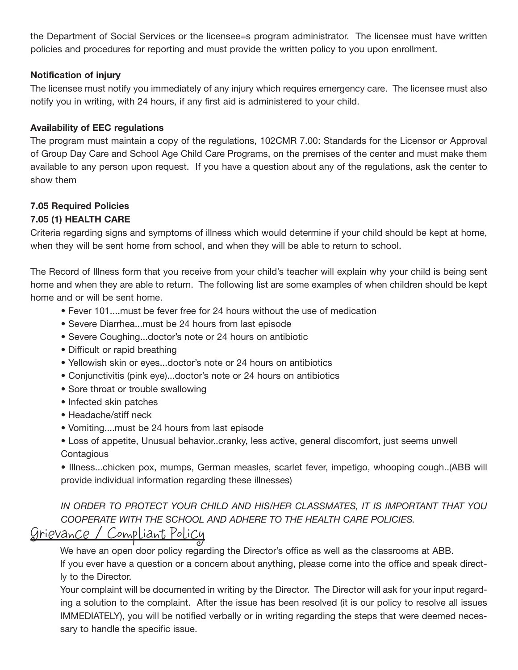the Department of Social Services or the licensee=s program administrator. The licensee must have written policies and procedures for reporting and must provide the written policy to you upon enrollment.

#### **Notification of injury**

The licensee must notify you immediately of any injury which requires emergency care. The licensee must also notify you in writing, with 24 hours, if any first aid is administered to your child.

#### **Availability of EEC regulations**

The program must maintain a copy of the regulations, 102CMR 7.00: Standards for the Licensor or Approval of Group Day Care and School Age Child Care Programs, on the premises of the center and must make them available to any person upon request. If you have a question about any of the regulations, ask the center to show them

## **7.05 Required Policies**

#### **7.05 (1) HEALTH CARE**

Criteria regarding signs and symptoms of illness which would determine if your child should be kept at home, when they will be sent home from school, and when they will be able to return to school.

The Record of Illness form that you receive from your child's teacher will explain why your child is being sent home and when they are able to return. The following list are some examples of when children should be kept home and or will be sent home.

- Fever 101....must be fever free for 24 hours without the use of medication
- Severe Diarrhea...must be 24 hours from last episode
- Severe Coughing...doctor's note or 24 hours on antibiotic
- Difficult or rapid breathing
- Yellowish skin or eyes...doctor's note or 24 hours on antibiotics
- Conjunctivitis (pink eye)...doctor's note or 24 hours on antibiotics
- Sore throat or trouble swallowing
- Infected skin patches
- Headache/stiff neck
- Vomiting....must be 24 hours from last episode

• Loss of appetite, Unusual behavior..cranky, less active, general discomfort, just seems unwell **Contagious** 

• Illness...chicken pox, mumps, German measles, scarlet fever, impetigo, whooping cough..(ABB will provide individual information regarding these illnesses)

*IN ORDER TO PROTECT YOUR CHILD AND HIS/HER CLASSMATES, IT IS IMPORTANT THAT YOU COOPERATE WITH THE SCHOOL AND ADHERE TO THE HEALTH CARE POLICIES.*

## Grievance / Compliant Policy

We have an open door policy regarding the Director's office as well as the classrooms at ABB. If you ever have a question or a concern about anything, please come into the office and speak directly to the Director.

Your complaint will be documented in writing by the Director. The Director will ask for your input regarding a solution to the complaint. After the issue has been resolved (it is our policy to resolve all issues IMMEDIATELY), you will be notified verbally or in writing regarding the steps that were deemed necessary to handle the specific issue.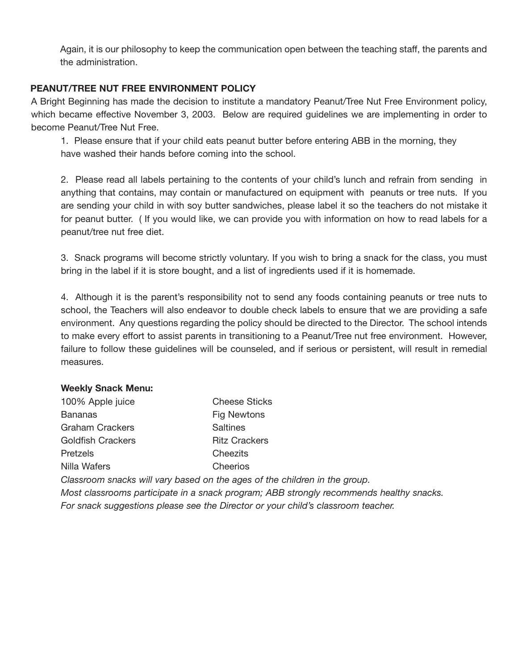Again, it is our philosophy to keep the communication open between the teaching staff, the parents and the administration.

#### **PEANUT/TREE NUT FREE ENVIRONMENT POLICY**

A Bright Beginning has made the decision to institute a mandatory Peanut/Tree Nut Free Environment policy, which became effective November 3, 2003. Below are required guidelines we are implementing in order to become Peanut/Tree Nut Free.

1. Please ensure that if your child eats peanut butter before entering ABB in the morning, they have washed their hands before coming into the school.

2. Please read all labels pertaining to the contents of your child's lunch and refrain from sending in anything that contains, may contain or manufactured on equipment with peanuts or tree nuts. If you are sending your child in with soy butter sandwiches, please label it so the teachers do not mistake it for peanut butter. ( If you would like, we can provide you with information on how to read labels for a peanut/tree nut free diet.

3. Snack programs will become strictly voluntary. If you wish to bring a snack for the class, you must bring in the label if it is store bought, and a list of ingredients used if it is homemade.

4. Although it is the parent's responsibility not to send any foods containing peanuts or tree nuts to school, the Teachers will also endeavor to double check labels to ensure that we are providing a safe environment. Any questions regarding the policy should be directed to the Director. The school intends to make every effort to assist parents in transitioning to a Peanut/Tree nut free environment. However, failure to follow these guidelines will be counseled, and if serious or persistent, will result in remedial measures.

#### **Weekly Snack Menu:**

| 100% Apple juice         | <b>Cheese Sticks</b> |
|--------------------------|----------------------|
| <b>Bananas</b>           | <b>Fig Newtons</b>   |
| Graham Crackers          | Saltines             |
| <b>Goldfish Crackers</b> | <b>Ritz Crackers</b> |
| Pretzels                 | Cheezits             |
| Nilla Wafers             | Cheerios             |

*Classroom snacks will vary based on the ages of the children in the group.*

*Most classrooms participate in a snack program; ABB strongly recommends healthy snacks. For snack suggestions please see the Director or your child's classroom teacher.*